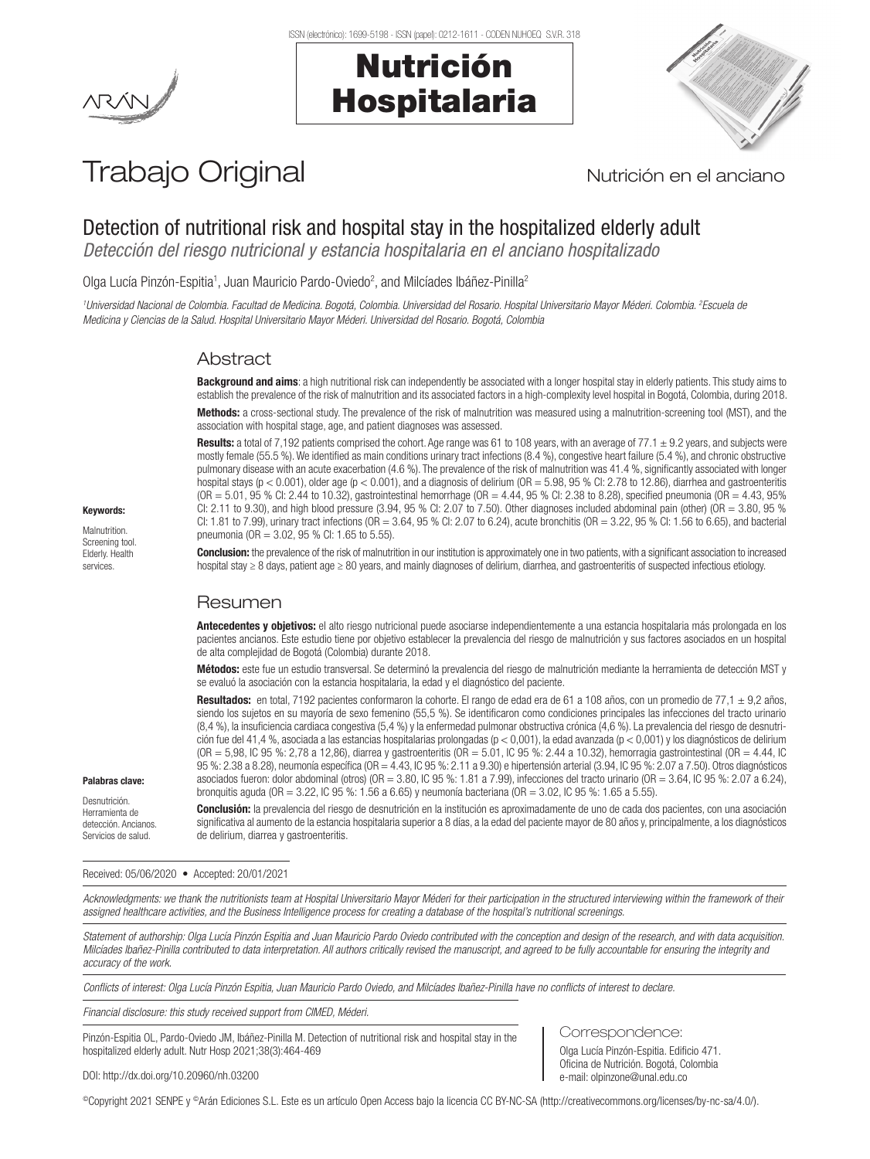# Nutrición Hospitalaria



# Trabajo Original Nutrición en el anciano

## Detection of nutritional risk and hospital stay in the hospitalized elderly adult

*Detección del riesgo nutricional y estancia hospitalaria en el anciano hospitalizado*

Olga Lucía Pinzón-Espitia<sup>1</sup>, Juan Mauricio Pardo-Oviedo<sup>2</sup>, and Milcíades Ibáñez-Pinilla<sup>2</sup>

*1 Universidad Nacional de Colombia. Facultad de Medicina. Bogotá, Colombia. Universidad del Rosario. Hospital Universitario Mayor Méderi. Colombia. 2 Escuela de Medicina y Ciencias de la Salud. Hospital Universitario Mayor Méderi. Universidad del Rosario. Bogotá, Colombia*

### Abstract

Background and aims: a high nutritional risk can independently be associated with a longer hospital stay in elderly patients. This study aims to establish the prevalence of the risk of malnutrition and its associated factors in a high-complexity level hospital in Bogotá, Colombia, during 2018. Methods: a cross-sectional study. The prevalence of the risk of malnutrition was measured using a malnutrition-screening tool (MST), and the association with hospital stage, age, and patient diagnoses was assessed.

Results: a total of 7,192 patients comprised the cohort. Age range was 61 to 108 years, with an average of 77.1  $\pm$  9.2 years, and subjects were mostly female (55.5 %). We identified as main conditions urinary tract infections (8.4 %), congestive heart failure (5.4 %), and chronic obstructive pulmonary disease with an acute exacerbation (4.6 %). The prevalence of the risk of malnutrition was 41.4 %, significantly associated with longer hospital stays ( $p < 0.001$ ), older age ( $p < 0.001$ ), and a diagnosis of delirium ( $OR = 5.98$ ,  $95$  % Cl: 2.78 to 12.86), diarrhea and gastroenteritis  $(OR = 5.01, 95 %$  CI: 2.44 to 10.32), gastrointestinal hemorrhage  $(OR = 4.44, 95 %$  Cl: 2.38 to 8.28), specified pneumonia  $(OR = 4.43, 95%$ CI: 2.11 to 9.30), and high blood pressure  $(3.94, 95\%$  CI: 2.07 to 7.50). Other diagnoses included abdominal pain (other) (OR = 3.80, 95 % CI: 1.81 to 7.99), urinary tract infections (OR = 3.64, 95 % CI: 2.07 to 6.24), acute bronchitis (OR = 3.22, 95 % CI: 1.56 to 6.65), and bacterial pneumonia (OR = 3.02, 95 % CI: 1.65 to 5.55).

Keywords:

Malnutrition. Screening tool. Elderly. Health services.

Conclusion: the prevalence of the risk of malnutrition in our institution is approximately one in two patients, with a significant association to increased hospital stay ≥ 8 days, patient age ≥ 80 years, and mainly diagnoses of delirium, diarrhea, and gastroenteritis of suspected infectious etiology.

### Resumen

Antecedentes y objetivos: el alto riesgo nutricional puede asociarse independientemente a una estancia hospitalaria más prolongada en los pacientes ancianos. Este estudio tiene por objetivo establecer la prevalencia del riesgo de malnutrición y sus factores asociados en un hospital de alta complejidad de Bogotá (Colombia) durante 2018.

Métodos: este fue un estudio transversal. Se determinó la prevalencia del riesgo de malnutrición mediante la herramienta de detección MST y se evaluó la asociación con la estancia hospitalaria, la edad y el diagnóstico del paciente.

Resultados: en total, 7192 pacientes conformaron la cohorte. El rango de edad era de 61 a 108 años, con un promedio de 77,1  $\pm$  9,2 años, siendo los sujetos en su mayoría de sexo femenino (55,5 %). Se identificaron como condiciones principales las infecciones del tracto urinario (8,4 %), la insuficiencia cardiaca congestiva (5,4 %) y la enfermedad pulmonar obstructiva crónica (4,6 %). La prevalencia del riesgo de desnutrición fue del 41,4 %, asociada a las estancias hospitalarias prolongadas (p < 0,001), la edad avanzada (p < 0,001) y los diagnósticos de delirium (OR = 5,98, IC 95 %: 2,78 a 12,86), diarrea y gastroenteritis (OR = 5.01, IC 95 %: 2.44 a 10.32), hemorragia gastrointestinal (OR = 4.44, IC 95 %: 2.38 a 8.28), neumonía específica (OR = 4.43, IC 95 %: 2.11 a 9.30) e hipertensión arterial (3.94, IC 95 %: 2.07 a 7.50). Otros diagnósticos asociados fueron: dolor abdominal (otros) (OR = 3.80, IC 95 %: 1.81 a 7.99), infecciones del tracto urinario (OR = 3.64, IC 95 %: 2.07 a 6.24), bronquitis aguda (OR = 3.22, IC 95 %: 1.56 a 6.65) y neumonía bacteriana (OR = 3.02, IC 95 %: 1.65 a 5.55).

Palabras clave:

Desnutrición. Herramienta de detección. Ancianos. Servicios de salud.

Conclusión: la prevalencia del riesgo de desnutrición en la institución es aproximadamente de uno de cada dos pacientes, con una asociación significativa al aumento de la estancia hospitalaria superior a 8 días, a la edad del paciente mayor de 80 años y, principalmente, a los diagnósticos de delirium, diarrea y gastroenteritis.

#### Received: 05/06/2020 • Accepted: 20/01/2021

*Acknowledgments: we thank the nutritionists team at Hospital Universitario Mayor Méderi for their participation in the structured interviewing within the framework of their assigned healthcare activities, and the Business Intelligence process for creating a database of the hospital's nutritional screenings.*

*Statement of authorship: Olga Lucía Pinzón Espitia and Juan Mauricio Pardo Oviedo contributed with the conception and design of the research, and with data acquisition. Milcíades Ibañez-Pinilla contributed to data interpretation. All authors critically revised the manuscript, and agreed to be fully accountable for ensuring the integrity and accuracy of the work.*

*Conflicts of interest: Olga Lucía Pinzón Espitia, Juan Mauricio Pardo Oviedo, and Milcíades Ibañez-Pinilla have no conflicts of interest to declare.*

*Financial disclosure: this study received support from CIMED, Méderi.* 

Pinzón-Espitia OL, Pardo-Oviedo JM, Ibáñez-Pinilla M. Detection of nutritional risk and hospital stay in the hospitalized elderly adult. Nutr Hosp 2021;38(3):464-469

Correspondence:

Olga Lucía Pinzón-Espitia. Edificio 471. Oficina de Nutrición. Bogotá, Colombia e-mail: olpinzone@unal.edu.co

DOI: http://dx.doi.org/10.20960/nh.03200

©Copyright 2021 SENPE y ©Arán Ediciones S.L. Este es un artículo Open Access bajo la licencia CC BY-NC-SA (http://creativecommons.org/licenses/by-nc-sa/4.0/).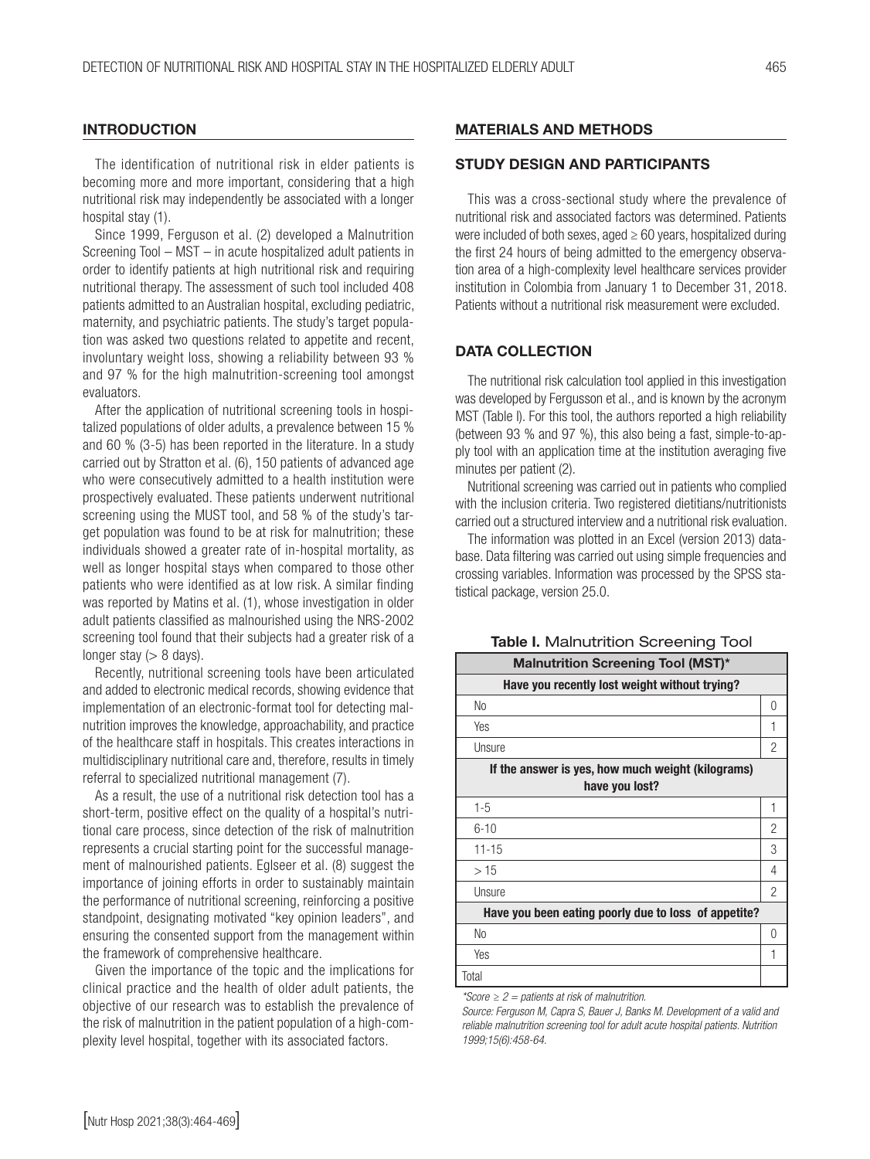#### **INTRODUCTION**

The identification of nutritional risk in elder patients is becoming more and more important, considering that a high nutritional risk may independently be associated with a longer hospital stay (1).

Since 1999, Ferguson et al. (2) developed a Malnutrition Screening Tool – MST – in acute hospitalized adult patients in order to identify patients at high nutritional risk and requiring nutritional therapy. The assessment of such tool included 408 patients admitted to an Australian hospital, excluding pediatric, maternity, and psychiatric patients. The study's target population was asked two questions related to appetite and recent, involuntary weight loss, showing a reliability between 93 % and 97 % for the high malnutrition-screening tool amongst evaluators.

After the application of nutritional screening tools in hospitalized populations of older adults, a prevalence between 15 % and 60 % (3-5) has been reported in the literature. In a study carried out by Stratton et al. (6), 150 patients of advanced age who were consecutively admitted to a health institution were prospectively evaluated. These patients underwent nutritional screening using the MUST tool, and 58 % of the study's target population was found to be at risk for malnutrition; these individuals showed a greater rate of in-hospital mortality, as well as longer hospital stays when compared to those other patients who were identified as at low risk. A similar finding was reported by Matins et al. (1), whose investigation in older adult patients classified as malnourished using the NRS-2002 screening tool found that their subjects had a greater risk of a longer stay  $(> 8$  days).

Recently, nutritional screening tools have been articulated and added to electronic medical records, showing evidence that implementation of an electronic-format tool for detecting malnutrition improves the knowledge, approachability, and practice of the healthcare staff in hospitals. This creates interactions in multidisciplinary nutritional care and, therefore, results in timely referral to specialized nutritional management (7).

As a result, the use of a nutritional risk detection tool has a short-term, positive effect on the quality of a hospital's nutritional care process, since detection of the risk of malnutrition represents a crucial starting point for the successful management of malnourished patients. Eglseer et al. (8) suggest the importance of joining efforts in order to sustainably maintain the performance of nutritional screening, reinforcing a positive standpoint, designating motivated "key opinion leaders", and ensuring the consented support from the management within the framework of comprehensive healthcare.

Given the importance of the topic and the implications for clinical practice and the health of older adult patients, the objective of our research was to establish the prevalence of the risk of malnutrition in the patient population of a high-complexity level hospital, together with its associated factors.

#### MATERIALS AND METHODS

#### STUDY DESIGN AND PARTICIPANTS

This was a cross-sectional study where the prevalence of nutritional risk and associated factors was determined. Patients were included of both sexes, aged  $\geq 60$  years, hospitalized during the first 24 hours of being admitted to the emergency observation area of a high-complexity level healthcare services provider institution in Colombia from January 1 to December 31, 2018. Patients without a nutritional risk measurement were excluded.

#### DATA COLLECTION

The nutritional risk calculation tool applied in this investigation was developed by Fergusson et al., and is known by the acronym MST (Table I). For this tool, the authors reported a high reliability (between 93 % and 97 %), this also being a fast, simple-to-apply tool with an application time at the institution averaging five minutes per patient (2).

Nutritional screening was carried out in patients who complied with the inclusion criteria. Two registered dietitians/nutritionists carried out a structured interview and a nutritional risk evaluation.

The information was plotted in an Excel (version 2013) database. Data filtering was carried out using simple frequencies and crossing variables. Information was processed by the SPSS statistical package, version 25.0.

| <b>Malnutrition Screening Tool (MST)*</b>                           |   |  |  |
|---------------------------------------------------------------------|---|--|--|
| Have you recently lost weight without trying?                       |   |  |  |
| No                                                                  | 0 |  |  |
| Yes                                                                 | 1 |  |  |
| Unsure                                                              | 2 |  |  |
| If the answer is yes, how much weight (kilograms)<br>have you lost? |   |  |  |
| $1 - 5$                                                             | 1 |  |  |
| $6 - 10$                                                            | 2 |  |  |
| $11 - 15$                                                           | 3 |  |  |
| >15                                                                 | 4 |  |  |
| Unsure                                                              | 2 |  |  |
| Have you been eating poorly due to loss of appetite?                |   |  |  |
| N <sub>0</sub>                                                      | 0 |  |  |
| Yes                                                                 | 1 |  |  |
| Total                                                               |   |  |  |

Table I. Malnutrition Screening Tool

*\*Score ≥ 2 = patients at risk of malnutrition.* 

*Source: Ferguson M, Capra S, Bauer J, Banks M. Development of a valid and reliable malnutrition screening tool for adult acute hospital patients. Nutrition 1999;15(6):458-64.*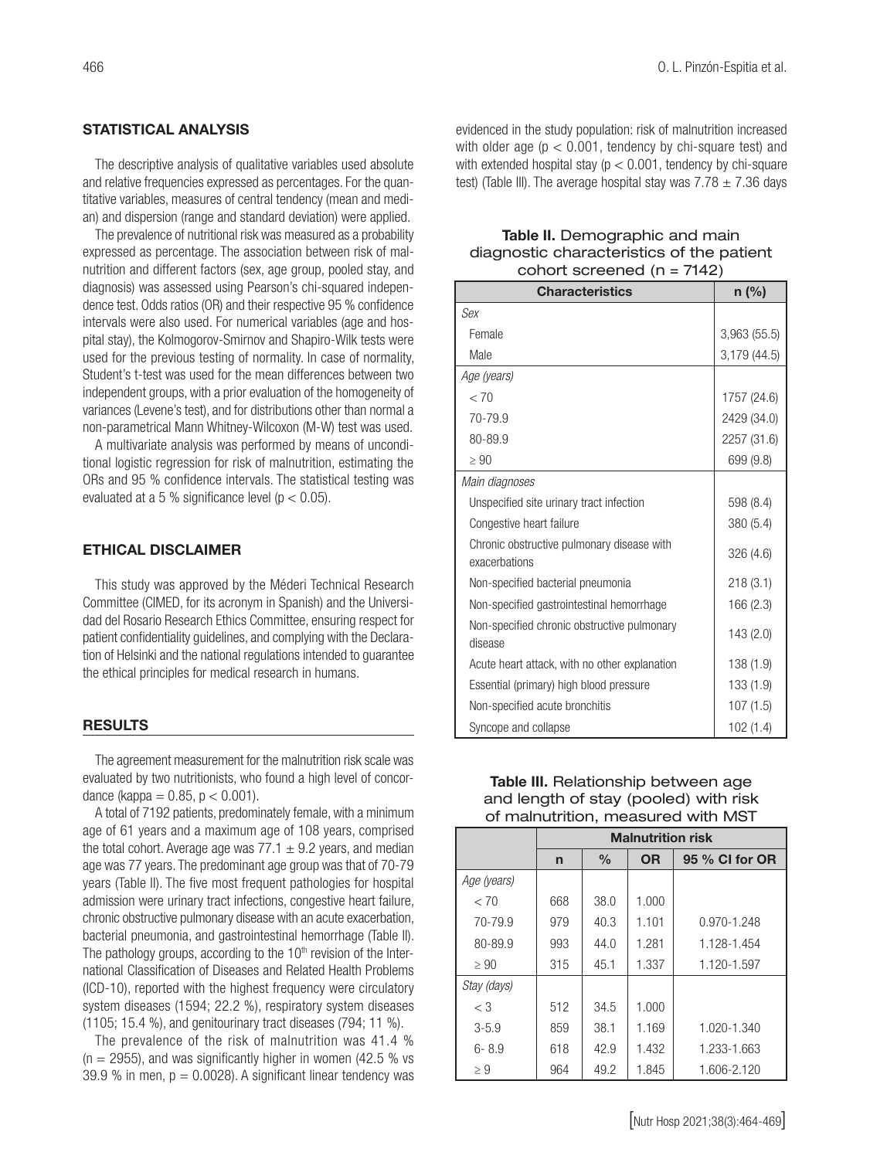#### STATISTICAL ANALYSIS

The descriptive analysis of qualitative variables used absolute and relative frequencies expressed as percentages. For the quantitative variables, measures of central tendency (mean and median) and dispersion (range and standard deviation) were applied.

The prevalence of nutritional risk was measured as a probability expressed as percentage. The association between risk of malnutrition and different factors (sex, age group, pooled stay, and diagnosis) was assessed using Pearson's chi-squared independence test. Odds ratios (OR) and their respective 95 % confidence intervals were also used. For numerical variables (age and hospital stay), the Kolmogorov-Smirnov and Shapiro-Wilk tests were used for the previous testing of normality. In case of normality, Student's t-test was used for the mean differences between two independent groups, with a prior evaluation of the homogeneity of variances (Levene's test), and for distributions other than normal a non-parametrical Mann Whitney-Wilcoxon (M-W) test was used.

A multivariate analysis was performed by means of unconditional logistic regression for risk of malnutrition, estimating the ORs and 95 % confidence intervals. The statistical testing was evaluated at a 5 % significance level ( $p < 0.05$ ).

#### ETHICAL DISCLAIMER

This study was approved by the Méderi Technical Research Committee (CIMED, for its acronym in Spanish) and the Universidad del Rosario Research Ethics Committee, ensuring respect for patient confidentiality guidelines, and complying with the Declaration of Helsinki and the national regulations intended to guarantee the ethical principles for medical research in humans.

#### RESULTS

The agreement measurement for the malnutrition risk scale was evaluated by two nutritionists, who found a high level of concordance (kappa =  $0.85$ ,  $p < 0.001$ ).

A total of 7192 patients, predominately female, with a minimum age of 61 years and a maximum age of 108 years, comprised the total cohort. Average age was  $77.1 \pm 9.2$  years, and median age was 77 years. The predominant age group was that of 70-79 years (Table II). The five most frequent pathologies for hospital admission were urinary tract infections, congestive heart failure, chronic obstructive pulmonary disease with an acute exacerbation, bacterial pneumonia, and gastrointestinal hemorrhage (Table II). The pathology groups, according to the  $10<sup>th</sup>$  revision of the International Classification of Diseases and Related Health Problems (ICD-10), reported with the highest frequency were circulatory system diseases (1594; 22.2 %), respiratory system diseases (1105; 15.4 %), and genitourinary tract diseases (794; 11 %).

The prevalence of the risk of malnutrition was 41.4 %  $(n = 2955)$ , and was significantly higher in women (42.5 % vs 39.9 % in men,  $p = 0.0028$ ). A significant linear tendency was evidenced in the study population: risk of malnutrition increased with older age ( $p < 0.001$ , tendency by chi-square test) and with extended hospital stay ( $p < 0.001$ , tendency by chi-square test) (Table III). The average hospital stay was  $7.78 \pm 7.36$  days

#### Table II. Demographic and main diagnostic characteristics of the patient cohort screened (n = 7142)

| <b>Characteristics</b>                                      | n (%)        |
|-------------------------------------------------------------|--------------|
| Sex                                                         |              |
| Female                                                      | 3,963 (55.5) |
| Male                                                        | 3,179 (44.5) |
| Age (years)                                                 |              |
| < 70                                                        | 1757 (24.6)  |
| 70-79.9                                                     | 2429 (34.0)  |
| 80-89.9                                                     | 2257 (31.6)  |
| $\geq 90$                                                   | 699 (9.8)    |
| Main diagnoses                                              |              |
| Unspecified site urinary tract infection                    | 598 (8.4)    |
| Congestive heart failure                                    | 380 (5.4)    |
| Chronic obstructive pulmonary disease with<br>exacerbations | 326 (4.6)    |
| Non-specified bacterial pneumonia                           | 218(3.1)     |
| Non-specified gastrointestinal hemorrhage                   | 166 (2.3)    |
| Non-specified chronic obstructive pulmonary<br>disease      | 143 (2.0)    |
| Acute heart attack, with no other explanation               | 138 (1.9)    |
| Essential (primary) high blood pressure                     | 133 (1.9)    |
| Non-specified acute bronchitis                              | 107(1.5)     |
| Syncope and collapse                                        | 102(1.4)     |

|                                       | Table III. Relationship between age |  |  |
|---------------------------------------|-------------------------------------|--|--|
| and length of stay (pooled) with risk |                                     |  |  |
| of malnutrition, measured with MST    |                                     |  |  |
|                                       | <b>Malnutrition risk</b>            |  |  |

|             | <b>Malnutrition risk</b> |               |           |                |  |
|-------------|--------------------------|---------------|-----------|----------------|--|
|             | n                        | $\frac{0}{0}$ | <b>OR</b> | 95 % CI for OR |  |
| Age (years) |                          |               |           |                |  |
| < 70        | 668                      | 38.0          | 1.000     |                |  |
| 70-79.9     | 979                      | 40.3          | 1.101     | 0.970-1.248    |  |
| 80-89.9     | 993                      | 44.0          | 1.281     | 1.128-1.454    |  |
| $\geq 90$   | 315                      | 45.1          | 1.337     | 1.120-1.597    |  |
| Stay (days) |                          |               |           |                |  |
| $\langle 3$ | 512                      | 34.5          | 1.000     |                |  |
| $3 - 5.9$   | 859                      | 38.1          | 1.169     | 1.020-1.340    |  |
| $6 - 8.9$   | 618                      | 42.9          | 1.432     | 1.233-1.663    |  |
| $\geq 9$    | 964                      | 49.2          | 1.845     | 1.606-2.120    |  |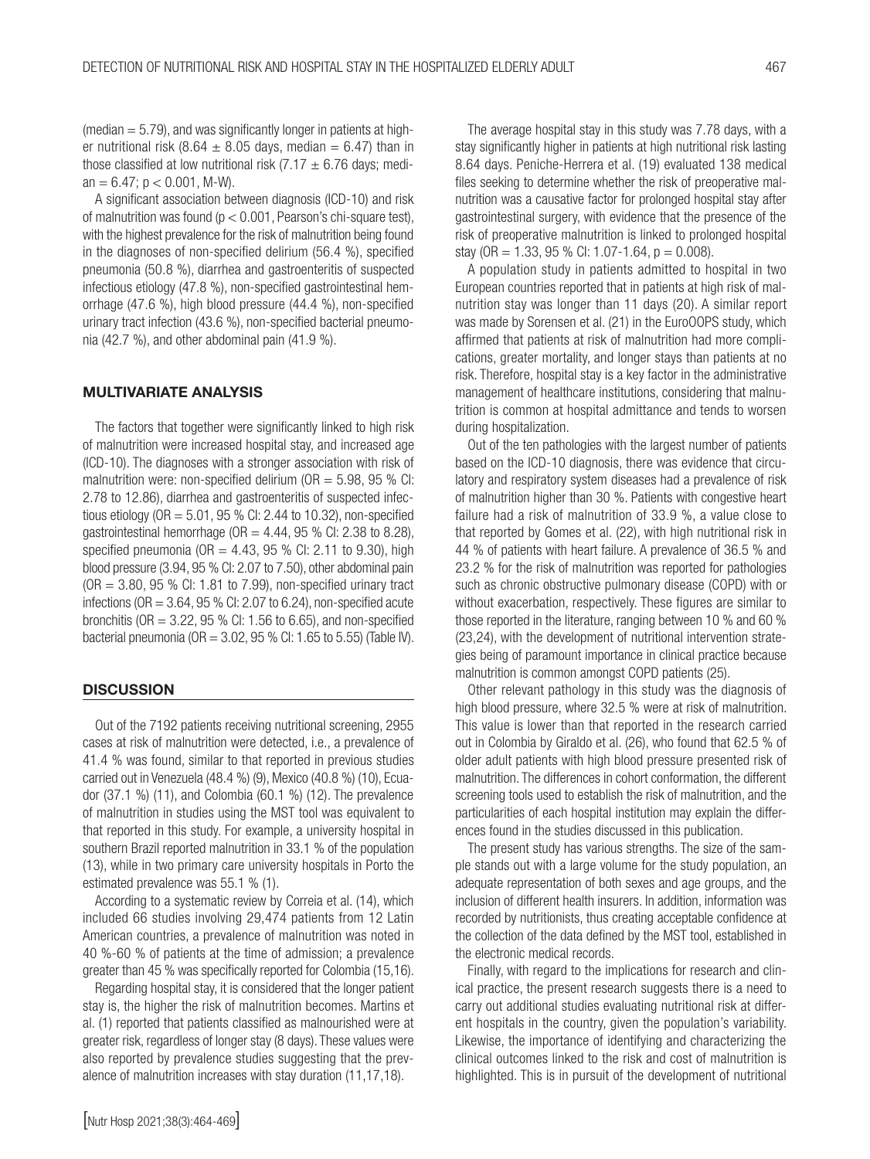(median  $= 5.79$ ), and was significantly longer in patients at higher nutritional risk (8.64  $\pm$  8.05 days, median = 6.47) than in those classified at low nutritional risk (7.17  $\pm$  6.76 days; median =  $6.47$ ; p <  $0.001$ , M-W).

A significant association between diagnosis (ICD-10) and risk of malnutrition was found ( $p < 0.001$ , Pearson's chi-square test), with the highest prevalence for the risk of malnutrition being found in the diagnoses of non-specified delirium (56.4 %), specified pneumonia (50.8 %), diarrhea and gastroenteritis of suspected infectious etiology (47.8 %), non-specified gastrointestinal hemorrhage (47.6 %), high blood pressure (44.4 %), non-specified urinary tract infection (43.6 %), non-specified bacterial pneumonia (42.7 %), and other abdominal pain (41.9 %).

#### MULTIVARIATE ANALYSIS

The factors that together were significantly linked to high risk of malnutrition were increased hospital stay, and increased age (ICD-10). The diagnoses with a stronger association with risk of malnutrition were: non-specified delirium ( $OR = 5.98$ , 95 % CI: 2.78 to 12.86), diarrhea and gastroenteritis of suspected infectious etiology ( $OR = 5.01$ ,  $95$  % Cl: 2.44 to 10.32), non-specified gastrointestinal hemorrhage ( $OR = 4.44$ , 95 % CI: 2.38 to 8.28), specified pneumonia ( $OR = 4.43$ , 95 % Cl: 2.11 to 9.30), high blood pressure (3.94, 95 % CI: 2.07 to 7.50), other abdominal pain  $(OR = 3.80, 95, % \text{Cl}: 1.81 \text{ to } 7.99)$ , non-specified urinary tract infections ( $OR = 3.64$ ,  $95$  % CI: 2.07 to 6.24), non-specified acute bronchitis (OR = 3.22, 95 % CI: 1.56 to 6.65), and non-specified bacterial pneumonia ( $OR = 3.02$ ,  $95$  % Cl: 1.65 to 5.55) (Table IV).

#### **DISCUSSION**

Out of the 7192 patients receiving nutritional screening, 2955 cases at risk of malnutrition were detected, i.e., a prevalence of 41.4 % was found, similar to that reported in previous studies carried out in Venezuela (48.4 %) (9), Mexico (40.8 %) (10), Ecuador (37.1 %) (11), and Colombia (60.1 %) (12). The prevalence of malnutrition in studies using the MST tool was equivalent to that reported in this study. For example, a university hospital in southern Brazil reported malnutrition in 33.1 % of the population (13), while in two primary care university hospitals in Porto the estimated prevalence was 55.1 % (1).

According to a systematic review by Correia et al. (14), which included 66 studies involving 29,474 patients from 12 Latin American countries, a prevalence of malnutrition was noted in 40 %-60 % of patients at the time of admission; a prevalence greater than 45 % was specifically reported for Colombia (15,16).

Regarding hospital stay, it is considered that the longer patient stay is, the higher the risk of malnutrition becomes. Martins et al. (1) reported that patients classified as malnourished were at greater risk, regardless of longer stay (8 days). These values were also reported by prevalence studies suggesting that the prevalence of malnutrition increases with stay duration (11,17,18).

The average hospital stay in this study was 7.78 days, with a stay significantly higher in patients at high nutritional risk lasting 8.64 days. Peniche-Herrera et al. (19) evaluated 138 medical files seeking to determine whether the risk of preoperative malnutrition was a causative factor for prolonged hospital stay after gastrointestinal surgery, with evidence that the presence of the risk of preoperative malnutrition is linked to prolonged hospital stay (OR = 1.33, 95 % CI: 1.07-1.64,  $p = 0.008$ ).

A population study in patients admitted to hospital in two European countries reported that in patients at high risk of malnutrition stay was longer than 11 days (20). A similar report was made by Sorensen et al. (21) in the EuroOOPS study, which affirmed that patients at risk of malnutrition had more complications, greater mortality, and longer stays than patients at no risk. Therefore, hospital stay is a key factor in the administrative management of healthcare institutions, considering that malnutrition is common at hospital admittance and tends to worsen during hospitalization.

Out of the ten pathologies with the largest number of patients based on the ICD-10 diagnosis, there was evidence that circulatory and respiratory system diseases had a prevalence of risk of malnutrition higher than 30 %. Patients with congestive heart failure had a risk of malnutrition of 33.9 %, a value close to that reported by Gomes et al. (22), with high nutritional risk in 44 % of patients with heart failure. A prevalence of 36.5 % and 23.2 % for the risk of malnutrition was reported for pathologies such as chronic obstructive pulmonary disease (COPD) with or without exacerbation, respectively. These figures are similar to those reported in the literature, ranging between 10 % and 60 % (23,24), with the development of nutritional intervention strategies being of paramount importance in clinical practice because malnutrition is common amongst COPD patients (25).

Other relevant pathology in this study was the diagnosis of high blood pressure, where 32.5 % were at risk of malnutrition. This value is lower than that reported in the research carried out in Colombia by Giraldo et al. (26), who found that 62.5 % of older adult patients with high blood pressure presented risk of malnutrition. The differences in cohort conformation, the different screening tools used to establish the risk of malnutrition, and the particularities of each hospital institution may explain the differences found in the studies discussed in this publication.

The present study has various strengths. The size of the sample stands out with a large volume for the study population, an adequate representation of both sexes and age groups, and the inclusion of different health insurers. In addition, information was recorded by nutritionists, thus creating acceptable confidence at the collection of the data defined by the MST tool, established in the electronic medical records.

Finally, with regard to the implications for research and clinical practice, the present research suggests there is a need to carry out additional studies evaluating nutritional risk at different hospitals in the country, given the population's variability. Likewise, the importance of identifying and characterizing the clinical outcomes linked to the risk and cost of malnutrition is highlighted. This is in pursuit of the development of nutritional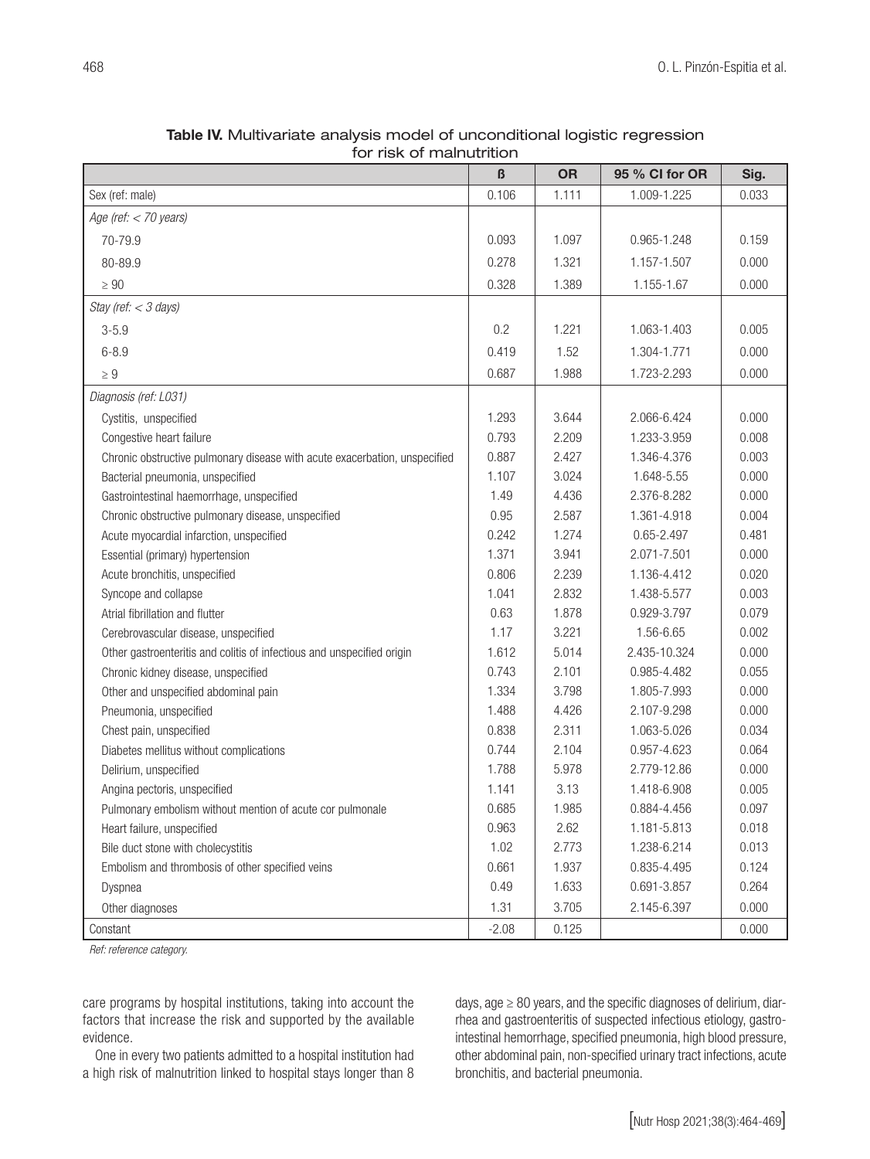| $\boldsymbol{\beta}$<br><b>OR</b><br>95 % CI for OR<br>Sig.<br>Sex (ref: male)<br>0.106<br>1.111<br>1.009-1.225<br>0.033<br>Age (ref: $<$ 70 years)<br>0.093<br>70-79.9<br>1.097<br>0.965-1.248<br>0.159<br>0.278<br>0.000<br>80-89.9<br>1.321<br>1.157-1.507<br>0.328<br>1.389<br>1.155-1.67<br>0.000<br>$\geq 90$<br>Stay (ref: < 3 days)<br>0.2<br>$3 - 5.9$<br>1.221<br>1.063-1.403<br>0.005<br>0.419<br>1.52<br>$6 - 8.9$<br>1.304-1.771<br>0.000<br>0.687<br>1.988<br>1.723-2.293<br>0.000<br>$\geq 9$<br>Diagnosis (ref: L031)<br>1.293<br>3.644<br>2.066-6.424<br>0.000<br>Cystitis, unspecified<br>0.793<br>2.209<br>1.233-3.959<br>0.008<br>Congestive heart failure<br>0.887<br>2.427<br>1.346-4.376<br>0.003<br>Chronic obstructive pulmonary disease with acute exacerbation, unspecified<br>1.107<br>3.024<br>1.648-5.55<br>0.000<br>Bacterial pneumonia, unspecified<br>1.49<br>4.436<br>2.376-8.282<br>0.000<br>Gastrointestinal haemorrhage, unspecified<br>0.95<br>2.587<br>1.361-4.918<br>0.004<br>Chronic obstructive pulmonary disease, unspecified<br>0.242<br>1.274<br>0.481<br>Acute myocardial infarction, unspecified<br>0.65-2.497<br>1.371<br>3.941<br>2.071-7.501<br>0.000<br>Essential (primary) hypertension<br>0.806<br>2.239<br>1.136-4.412<br>0.020<br>Acute bronchitis, unspecified<br>1.041<br>0.003<br>2.832<br>1.438-5.577<br>Syncope and collapse<br>0.079<br>Atrial fibrillation and flutter<br>0.63<br>1.878<br>0.929-3.797<br>3.221<br>1.56-6.65<br>0.002<br>1.17<br>Cerebrovascular disease, unspecified<br>5.014<br>2.435-10.324<br>0.000<br>Other gastroenteritis and colitis of infectious and unspecified origin<br>1.612<br>0.743<br>2.101<br>0.055<br>Chronic kidney disease, unspecified<br>0.985-4.482<br>1.334<br>3.798<br>1.805-7.993<br>0.000<br>Other and unspecified abdominal pain | for risk of malnutrition |       |       |             |       |  |  |
|---------------------------------------------------------------------------------------------------------------------------------------------------------------------------------------------------------------------------------------------------------------------------------------------------------------------------------------------------------------------------------------------------------------------------------------------------------------------------------------------------------------------------------------------------------------------------------------------------------------------------------------------------------------------------------------------------------------------------------------------------------------------------------------------------------------------------------------------------------------------------------------------------------------------------------------------------------------------------------------------------------------------------------------------------------------------------------------------------------------------------------------------------------------------------------------------------------------------------------------------------------------------------------------------------------------------------------------------------------------------------------------------------------------------------------------------------------------------------------------------------------------------------------------------------------------------------------------------------------------------------------------------------------------------------------------------------------------------------------------------------------------------------------------------------------------------------------------------|--------------------------|-------|-------|-------------|-------|--|--|
|                                                                                                                                                                                                                                                                                                                                                                                                                                                                                                                                                                                                                                                                                                                                                                                                                                                                                                                                                                                                                                                                                                                                                                                                                                                                                                                                                                                                                                                                                                                                                                                                                                                                                                                                                                                                                                             |                          |       |       |             |       |  |  |
|                                                                                                                                                                                                                                                                                                                                                                                                                                                                                                                                                                                                                                                                                                                                                                                                                                                                                                                                                                                                                                                                                                                                                                                                                                                                                                                                                                                                                                                                                                                                                                                                                                                                                                                                                                                                                                             |                          |       |       |             |       |  |  |
|                                                                                                                                                                                                                                                                                                                                                                                                                                                                                                                                                                                                                                                                                                                                                                                                                                                                                                                                                                                                                                                                                                                                                                                                                                                                                                                                                                                                                                                                                                                                                                                                                                                                                                                                                                                                                                             |                          |       |       |             |       |  |  |
|                                                                                                                                                                                                                                                                                                                                                                                                                                                                                                                                                                                                                                                                                                                                                                                                                                                                                                                                                                                                                                                                                                                                                                                                                                                                                                                                                                                                                                                                                                                                                                                                                                                                                                                                                                                                                                             |                          |       |       |             |       |  |  |
|                                                                                                                                                                                                                                                                                                                                                                                                                                                                                                                                                                                                                                                                                                                                                                                                                                                                                                                                                                                                                                                                                                                                                                                                                                                                                                                                                                                                                                                                                                                                                                                                                                                                                                                                                                                                                                             |                          |       |       |             |       |  |  |
|                                                                                                                                                                                                                                                                                                                                                                                                                                                                                                                                                                                                                                                                                                                                                                                                                                                                                                                                                                                                                                                                                                                                                                                                                                                                                                                                                                                                                                                                                                                                                                                                                                                                                                                                                                                                                                             |                          |       |       |             |       |  |  |
|                                                                                                                                                                                                                                                                                                                                                                                                                                                                                                                                                                                                                                                                                                                                                                                                                                                                                                                                                                                                                                                                                                                                                                                                                                                                                                                                                                                                                                                                                                                                                                                                                                                                                                                                                                                                                                             |                          |       |       |             |       |  |  |
|                                                                                                                                                                                                                                                                                                                                                                                                                                                                                                                                                                                                                                                                                                                                                                                                                                                                                                                                                                                                                                                                                                                                                                                                                                                                                                                                                                                                                                                                                                                                                                                                                                                                                                                                                                                                                                             |                          |       |       |             |       |  |  |
|                                                                                                                                                                                                                                                                                                                                                                                                                                                                                                                                                                                                                                                                                                                                                                                                                                                                                                                                                                                                                                                                                                                                                                                                                                                                                                                                                                                                                                                                                                                                                                                                                                                                                                                                                                                                                                             |                          |       |       |             |       |  |  |
|                                                                                                                                                                                                                                                                                                                                                                                                                                                                                                                                                                                                                                                                                                                                                                                                                                                                                                                                                                                                                                                                                                                                                                                                                                                                                                                                                                                                                                                                                                                                                                                                                                                                                                                                                                                                                                             |                          |       |       |             |       |  |  |
|                                                                                                                                                                                                                                                                                                                                                                                                                                                                                                                                                                                                                                                                                                                                                                                                                                                                                                                                                                                                                                                                                                                                                                                                                                                                                                                                                                                                                                                                                                                                                                                                                                                                                                                                                                                                                                             |                          |       |       |             |       |  |  |
|                                                                                                                                                                                                                                                                                                                                                                                                                                                                                                                                                                                                                                                                                                                                                                                                                                                                                                                                                                                                                                                                                                                                                                                                                                                                                                                                                                                                                                                                                                                                                                                                                                                                                                                                                                                                                                             |                          |       |       |             |       |  |  |
|                                                                                                                                                                                                                                                                                                                                                                                                                                                                                                                                                                                                                                                                                                                                                                                                                                                                                                                                                                                                                                                                                                                                                                                                                                                                                                                                                                                                                                                                                                                                                                                                                                                                                                                                                                                                                                             |                          |       |       |             |       |  |  |
|                                                                                                                                                                                                                                                                                                                                                                                                                                                                                                                                                                                                                                                                                                                                                                                                                                                                                                                                                                                                                                                                                                                                                                                                                                                                                                                                                                                                                                                                                                                                                                                                                                                                                                                                                                                                                                             |                          |       |       |             |       |  |  |
|                                                                                                                                                                                                                                                                                                                                                                                                                                                                                                                                                                                                                                                                                                                                                                                                                                                                                                                                                                                                                                                                                                                                                                                                                                                                                                                                                                                                                                                                                                                                                                                                                                                                                                                                                                                                                                             |                          |       |       |             |       |  |  |
|                                                                                                                                                                                                                                                                                                                                                                                                                                                                                                                                                                                                                                                                                                                                                                                                                                                                                                                                                                                                                                                                                                                                                                                                                                                                                                                                                                                                                                                                                                                                                                                                                                                                                                                                                                                                                                             |                          |       |       |             |       |  |  |
|                                                                                                                                                                                                                                                                                                                                                                                                                                                                                                                                                                                                                                                                                                                                                                                                                                                                                                                                                                                                                                                                                                                                                                                                                                                                                                                                                                                                                                                                                                                                                                                                                                                                                                                                                                                                                                             |                          |       |       |             |       |  |  |
|                                                                                                                                                                                                                                                                                                                                                                                                                                                                                                                                                                                                                                                                                                                                                                                                                                                                                                                                                                                                                                                                                                                                                                                                                                                                                                                                                                                                                                                                                                                                                                                                                                                                                                                                                                                                                                             |                          |       |       |             |       |  |  |
|                                                                                                                                                                                                                                                                                                                                                                                                                                                                                                                                                                                                                                                                                                                                                                                                                                                                                                                                                                                                                                                                                                                                                                                                                                                                                                                                                                                                                                                                                                                                                                                                                                                                                                                                                                                                                                             |                          |       |       |             |       |  |  |
|                                                                                                                                                                                                                                                                                                                                                                                                                                                                                                                                                                                                                                                                                                                                                                                                                                                                                                                                                                                                                                                                                                                                                                                                                                                                                                                                                                                                                                                                                                                                                                                                                                                                                                                                                                                                                                             |                          |       |       |             |       |  |  |
|                                                                                                                                                                                                                                                                                                                                                                                                                                                                                                                                                                                                                                                                                                                                                                                                                                                                                                                                                                                                                                                                                                                                                                                                                                                                                                                                                                                                                                                                                                                                                                                                                                                                                                                                                                                                                                             |                          |       |       |             |       |  |  |
|                                                                                                                                                                                                                                                                                                                                                                                                                                                                                                                                                                                                                                                                                                                                                                                                                                                                                                                                                                                                                                                                                                                                                                                                                                                                                                                                                                                                                                                                                                                                                                                                                                                                                                                                                                                                                                             |                          |       |       |             |       |  |  |
|                                                                                                                                                                                                                                                                                                                                                                                                                                                                                                                                                                                                                                                                                                                                                                                                                                                                                                                                                                                                                                                                                                                                                                                                                                                                                                                                                                                                                                                                                                                                                                                                                                                                                                                                                                                                                                             |                          |       |       |             |       |  |  |
|                                                                                                                                                                                                                                                                                                                                                                                                                                                                                                                                                                                                                                                                                                                                                                                                                                                                                                                                                                                                                                                                                                                                                                                                                                                                                                                                                                                                                                                                                                                                                                                                                                                                                                                                                                                                                                             |                          |       |       |             |       |  |  |
|                                                                                                                                                                                                                                                                                                                                                                                                                                                                                                                                                                                                                                                                                                                                                                                                                                                                                                                                                                                                                                                                                                                                                                                                                                                                                                                                                                                                                                                                                                                                                                                                                                                                                                                                                                                                                                             |                          |       |       |             |       |  |  |
|                                                                                                                                                                                                                                                                                                                                                                                                                                                                                                                                                                                                                                                                                                                                                                                                                                                                                                                                                                                                                                                                                                                                                                                                                                                                                                                                                                                                                                                                                                                                                                                                                                                                                                                                                                                                                                             |                          |       |       |             |       |  |  |
|                                                                                                                                                                                                                                                                                                                                                                                                                                                                                                                                                                                                                                                                                                                                                                                                                                                                                                                                                                                                                                                                                                                                                                                                                                                                                                                                                                                                                                                                                                                                                                                                                                                                                                                                                                                                                                             | Pneumonia, unspecified   | 1.488 | 4.426 | 2.107-9.298 | 0.000 |  |  |
| Chest pain, unspecified<br>0.838<br>2.311<br>1.063-5.026<br>0.034                                                                                                                                                                                                                                                                                                                                                                                                                                                                                                                                                                                                                                                                                                                                                                                                                                                                                                                                                                                                                                                                                                                                                                                                                                                                                                                                                                                                                                                                                                                                                                                                                                                                                                                                                                           |                          |       |       |             |       |  |  |
| 0.744<br>2.104<br>0.957-4.623<br>0.064<br>Diabetes mellitus without complications                                                                                                                                                                                                                                                                                                                                                                                                                                                                                                                                                                                                                                                                                                                                                                                                                                                                                                                                                                                                                                                                                                                                                                                                                                                                                                                                                                                                                                                                                                                                                                                                                                                                                                                                                           |                          |       |       |             |       |  |  |
| 1.788<br>5.978<br>2.779-12.86<br>0.000<br>Delirium, unspecified                                                                                                                                                                                                                                                                                                                                                                                                                                                                                                                                                                                                                                                                                                                                                                                                                                                                                                                                                                                                                                                                                                                                                                                                                                                                                                                                                                                                                                                                                                                                                                                                                                                                                                                                                                             |                          |       |       |             |       |  |  |
| 1.141<br>3.13<br>1.418-6.908<br>0.005<br>Angina pectoris, unspecified                                                                                                                                                                                                                                                                                                                                                                                                                                                                                                                                                                                                                                                                                                                                                                                                                                                                                                                                                                                                                                                                                                                                                                                                                                                                                                                                                                                                                                                                                                                                                                                                                                                                                                                                                                       |                          |       |       |             |       |  |  |
| 0.685<br>1.985<br>0.097<br>Pulmonary embolism without mention of acute cor pulmonale<br>0.884-4.456                                                                                                                                                                                                                                                                                                                                                                                                                                                                                                                                                                                                                                                                                                                                                                                                                                                                                                                                                                                                                                                                                                                                                                                                                                                                                                                                                                                                                                                                                                                                                                                                                                                                                                                                         |                          |       |       |             |       |  |  |
| 0.963<br>2.62<br>1.181-5.813<br>0.018<br>Heart failure, unspecified                                                                                                                                                                                                                                                                                                                                                                                                                                                                                                                                                                                                                                                                                                                                                                                                                                                                                                                                                                                                                                                                                                                                                                                                                                                                                                                                                                                                                                                                                                                                                                                                                                                                                                                                                                         |                          |       |       |             |       |  |  |
| 1.02<br>2.773<br>1.238-6.214<br>0.013<br>Bile duct stone with cholecystitis                                                                                                                                                                                                                                                                                                                                                                                                                                                                                                                                                                                                                                                                                                                                                                                                                                                                                                                                                                                                                                                                                                                                                                                                                                                                                                                                                                                                                                                                                                                                                                                                                                                                                                                                                                 |                          |       |       |             |       |  |  |
| 0.661<br>1.937<br>0.835-4.495<br>0.124<br>Embolism and thrombosis of other specified veins                                                                                                                                                                                                                                                                                                                                                                                                                                                                                                                                                                                                                                                                                                                                                                                                                                                                                                                                                                                                                                                                                                                                                                                                                                                                                                                                                                                                                                                                                                                                                                                                                                                                                                                                                  |                          |       |       |             |       |  |  |
| 0.49<br>1.633<br>0.691-3.857<br>0.264<br>Dyspnea                                                                                                                                                                                                                                                                                                                                                                                                                                                                                                                                                                                                                                                                                                                                                                                                                                                                                                                                                                                                                                                                                                                                                                                                                                                                                                                                                                                                                                                                                                                                                                                                                                                                                                                                                                                            |                          |       |       |             |       |  |  |
| 1.31<br>3.705<br>2.145-6.397<br>0.000<br>Other diagnoses                                                                                                                                                                                                                                                                                                                                                                                                                                                                                                                                                                                                                                                                                                                                                                                                                                                                                                                                                                                                                                                                                                                                                                                                                                                                                                                                                                                                                                                                                                                                                                                                                                                                                                                                                                                    |                          |       |       |             |       |  |  |
| $-2.08$<br>0.125<br>0.000<br>Constant                                                                                                                                                                                                                                                                                                                                                                                                                                                                                                                                                                                                                                                                                                                                                                                                                                                                                                                                                                                                                                                                                                                                                                                                                                                                                                                                                                                                                                                                                                                                                                                                                                                                                                                                                                                                       |                          |       |       |             |       |  |  |

Table IV. Multivariate analysis model of unconditional logistic regression

*Ref: reference category.*

care programs by hospital institutions, taking into account the factors that increase the risk and supported by the available evidence.

One in every two patients admitted to a hospital institution had a high risk of malnutrition linked to hospital stays longer than 8

days,  $age \geq 80$  years, and the specific diagnoses of delirium, diarrhea and gastroenteritis of suspected infectious etiology, gastrointestinal hemorrhage, specified pneumonia, high blood pressure, other abdominal pain, non-specified urinary tract infections, acute bronchitis, and bacterial pneumonia.